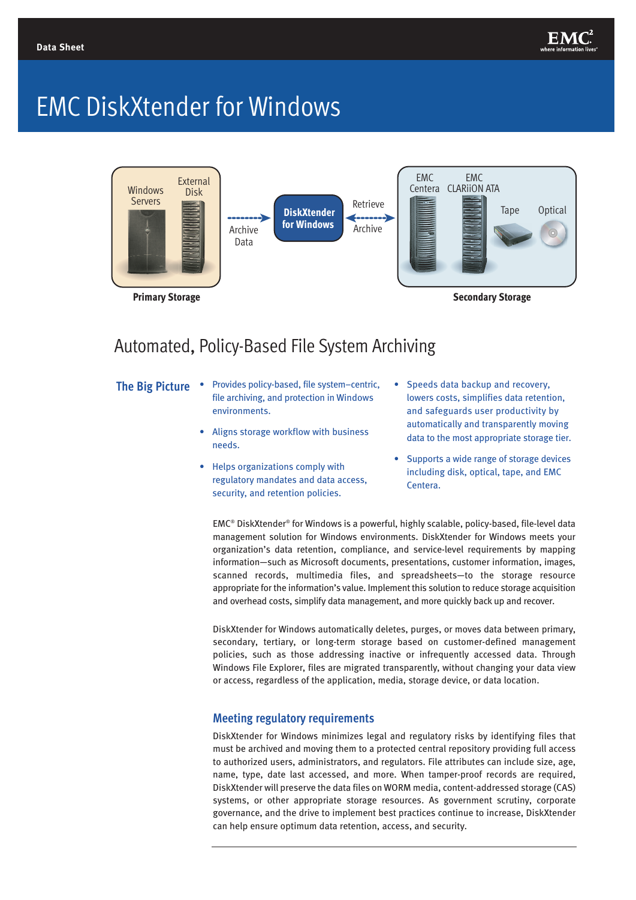

# EMC DiskXtender for Windows



### Automated, Policy-Based File System Archiving

- 
- **The Big Picture** Provides policy-based, file system–centric, file archiving, and protection in Windows environments.
	- Aligns storage workflow with business needs.
	- Helps organizations comply with regulatory mandates and data access, security, and retention policies.
- Speeds data backup and recovery, lowers costs, simplifies data retention, and safeguards user productivity by automatically and transparently moving data to the most appropriate storage tier.
- Supports a wide range of storage devices including disk, optical, tape, and EMC Centera.

EMC® DiskXtender® for Windows is a powerful, highly scalable, policy-based, file-level data management solution for Windows environments. DiskXtender for Windows meets your organization's data retention, compliance, and service-level requirements by mapping information—such as Microsoft documents, presentations, customer information, images, scanned records, multimedia files, and spreadsheets—to the storage resource appropriate for the information's value. Implement this solution to reduce storage acquisition and overhead costs, simplify data management, and more quickly back up and recover.

DiskXtender for Windows automatically deletes, purges, or moves data between primary, secondary, tertiary, or long-term storage based on customer-defined management policies, such as those addressing inactive or infrequently accessed data. Through Windows File Explorer, files are migrated transparently, without changing your data view or access, regardless of the application, media, storage device, or data location.

### **Meeting regulatory requirements**

DiskXtender for Windows minimizes legal and regulatory risks by identifying files that must be archived and moving them to a protected central repository providing full access to authorized users, administrators, and regulators. File attributes can include size, age, name, type, date last accessed, and more. When tamper-proof records are required, DiskXtender will preserve the data files on WORM media, content-addressed storage (CAS) systems, or other appropriate storage resources. As government scrutiny, corporate governance, and the drive to implement best practices continue to increase, DiskXtender can help ensure optimum data retention, access, and security.